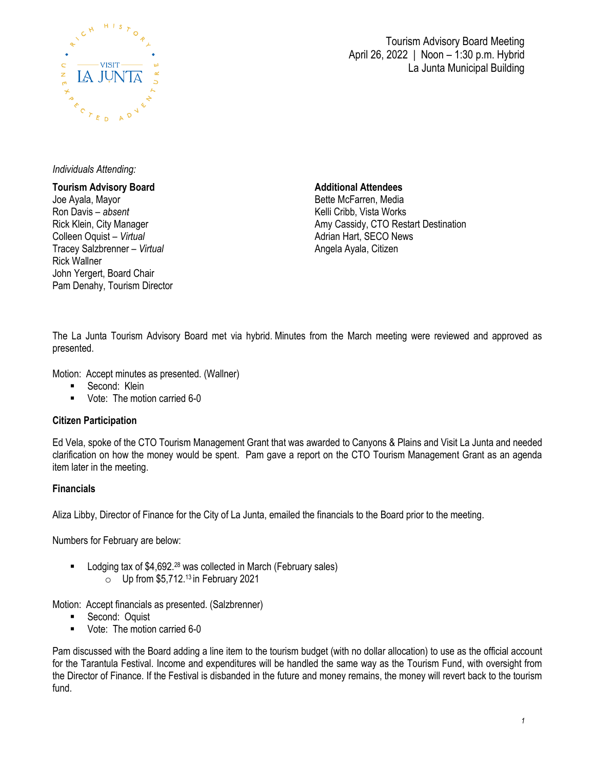

Tourism Advisory Board Meeting April 26, 2022 | Noon – 1:30 p.m. Hybrid La Junta Municipal Building

### *Individuals Attending:*

### **Tourism Advisory Board**  Joe Ayala, Mayor Ron Davis *– absent* Rick Klein, City Manager Colleen Oquist – *Virtual* Tracey Salzbrenner – *Virtual* Rick Wallner John Yergert, Board Chair Pam Denahy, Tourism Director

**Additional Attendees**

Bette McFarren, Media Kelli Cribb, Vista Works Amy Cassidy, CTO Restart Destination Adrian Hart, SECO News Angela Ayala, Citizen

The La Junta Tourism Advisory Board met via hybrid. Minutes from the March meeting were reviewed and approved as presented.

Motion: Accept minutes as presented. (Wallner)

- **Second: Klein**
- Vote: The motion carried 6-0

### **Citizen Participation**

Ed Vela, spoke of the CTO Tourism Management Grant that was awarded to Canyons & Plains and Visit La Junta and needed clarification on how the money would be spent. Pam gave a report on the CTO Tourism Management Grant as an agenda item later in the meeting.

### **Financials**

Aliza Libby, Director of Finance for the City of La Junta, emailed the financials to the Board prior to the meeting.

Numbers for February are below:

- Lodging tax of \$4,692.<sup>28</sup> was collected in March (February sales)
	- $\circ$  Up from \$5,712.<sup>13</sup> in February 2021

Motion: Accept financials as presented. (Salzbrenner)

- **Second: Oquist**
- **Vote: The motion carried 6-0**

Pam discussed with the Board adding a line item to the tourism budget (with no dollar allocation) to use as the official account for the Tarantula Festival. Income and expenditures will be handled the same way as the Tourism Fund, with oversight from the Director of Finance. If the Festival is disbanded in the future and money remains, the money will revert back to the tourism fund.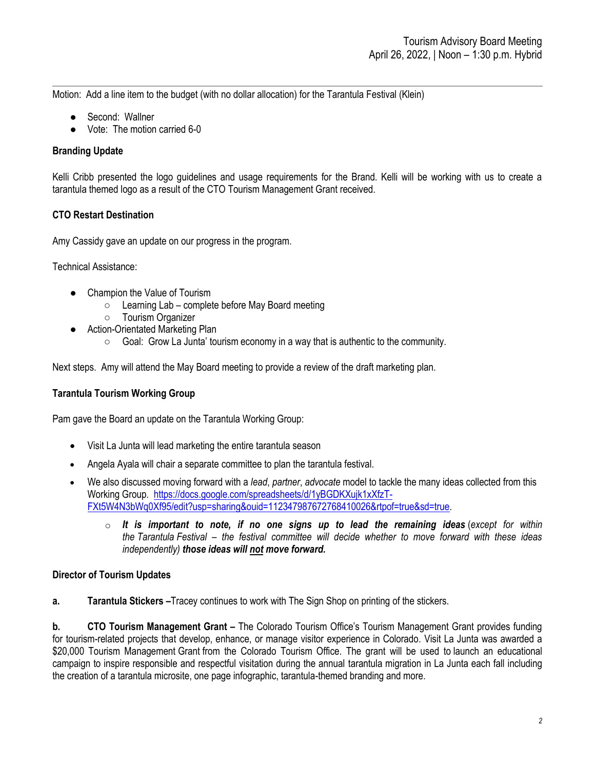Motion: Add a line item to the budget (with no dollar allocation) for the Tarantula Festival (Klein)

- Second: Wallner
- Vote: The motion carried 6-0

## **Branding Update**

Kelli Cribb presented the logo guidelines and usage requirements for the Brand. Kelli will be working with us to create a tarantula themed logo as a result of the CTO Tourism Management Grant received.

## **CTO Restart Destination**

Amy Cassidy gave an update on our progress in the program.

Technical Assistance:

- Champion the Value of Tourism
	- Learning Lab complete before May Board meeting
	- Tourism Organizer
- Action-Orientated Marketing Plan
	- Goal: Grow La Junta' tourism economy in a way that is authentic to the community.

Next steps. Amy will attend the May Board meeting to provide a review of the draft marketing plan.

### **Tarantula Tourism Working Group**

Pam gave the Board an update on the Tarantula Working Group:

- Visit La Junta will lead marketing the entire tarantula season
- Angela Ayala will chair a separate committee to plan the tarantula festival.
- We also discussed moving forward with a *lead*, *partner*, *advocate* model to tackle the many ideas collected from this Working Group. [https://docs.google.com/spreadsheets/d/1yBGDKXujk1xXfzT-](https://docs.google.com/spreadsheets/d/1yBGDKXujk1xXfzT-FXt5W4N3bWq0Xf95/edit?usp=sharing&ouid=112347987672768410026&rtpof=true&sd=true)[FXt5W4N3bWq0Xf95/edit?usp=sharing&ouid=112347987672768410026&rtpof=true&sd=true.](https://docs.google.com/spreadsheets/d/1yBGDKXujk1xXfzT-FXt5W4N3bWq0Xf95/edit?usp=sharing&ouid=112347987672768410026&rtpof=true&sd=true)
	- o *It is important to note, if no one signs up to lead the remaining ideas* (*except for within the Tarantula Festival – the festival committee will decide whether to move forward with these ideas independently) those ideas will not move forward.*

### **Director of Tourism Updates**

**a. Tarantula Stickers –**Tracey continues to work with The Sign Shop on printing of the stickers.

**b. CTO Tourism Management Grant** – The Colorado Tourism Office's Tourism Management Grant provides funding for tourism-related projects that develop, enhance, or manage visitor experience in Colorado. Visit La Junta was awarded a \$20,000 Tourism Management Grant from the Colorado Tourism Office. The grant will be used to launch an educational campaign to inspire responsible and respectful visitation during the annual tarantula migration in La Junta each fall including the creation of a tarantula microsite, one page infographic, tarantula-themed branding and more.